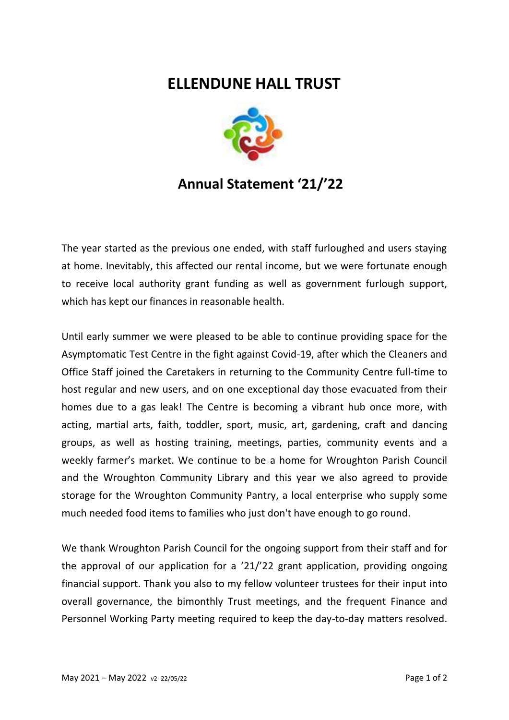## **ELLENDUNE HALL TRUST**



## **Annual Statement '21/'22**

The year started as the previous one ended, with staff furloughed and users staying at home. Inevitably, this affected our rental income, but we were fortunate enough to receive local authority grant funding as well as government furlough support, which has kept our finances in reasonable health.

Until early summer we were pleased to be able to continue providing space for the Asymptomatic Test Centre in the fight against Covid-19, after which the Cleaners and Office Staff joined the Caretakers in returning to the Community Centre full-time to host regular and new users, and on one exceptional day those evacuated from their homes due to a gas leak! The Centre is becoming a vibrant hub once more, with acting, martial arts, faith, toddler, sport, music, art, gardening, craft and dancing groups, as well as hosting training, meetings, parties, community events and a weekly farmer's market. We continue to be a home for Wroughton Parish Council and the Wroughton Community Library and this year we also agreed to provide storage for the Wroughton Community Pantry, a local enterprise who supply some much needed food items to families who just don't have enough to go round.

We thank Wroughton Parish Council for the ongoing support from their staff and for the approval of our application for a '21/'22 grant application, providing ongoing financial support. Thank you also to my fellow volunteer trustees for their input into overall governance, the bimonthly Trust meetings, and the frequent Finance and Personnel Working Party meeting required to keep the day-to-day matters resolved.